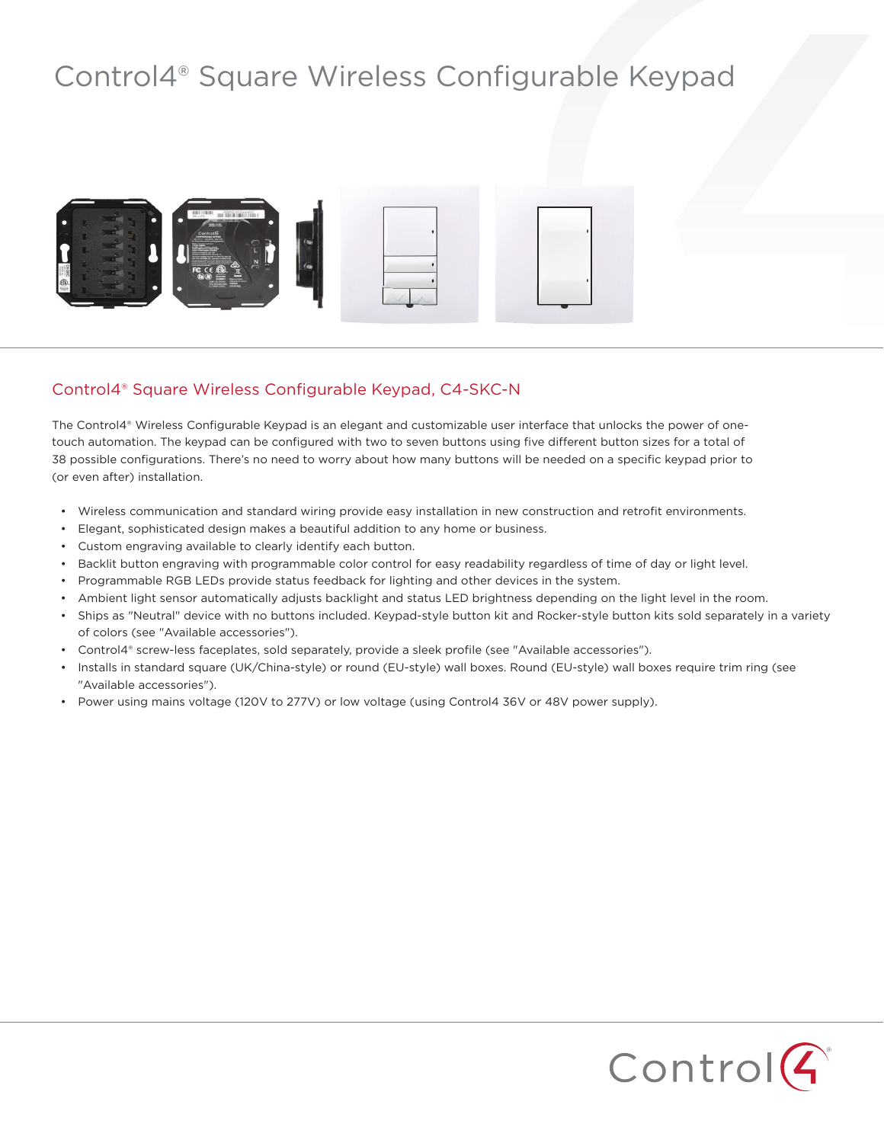## Control4® Square Wireless Configurable Keypad



## Control4® Square Wireless Configurable Keypad, C4-SKC-N

The Control4® Wireless Configurable Keypad is an elegant and customizable user interface that unlocks the power of onetouch automation. The keypad can be configured with two to seven buttons using five different button sizes for a total of 38 possible configurations. There's no need to worry about how many buttons will be needed on a specific keypad prior to (or even after) installation.

- Wireless communication and standard wiring provide easy installation in new construction and retrofit environments.
- Elegant, sophisticated design makes a beautiful addition to any home or business.
- Custom engraving available to clearly identify each button.
- Backlit button engraving with programmable color control for easy readability regardless of time of day or light level.
- Programmable RGB LEDs provide status feedback for lighting and other devices in the system.
- Ambient light sensor automatically adjusts backlight and status LED brightness depending on the light level in the room.
- Ships as "Neutral" device with no buttons included. Keypad-style button kit and Rocker-style button kits sold separately in a variety of colors (see "Available accessories").
- Control4® screw-less faceplates, sold separately, provide a sleek profile (see "Available accessories").
- Installs in standard square (UK/China-style) or round (EU-style) wall boxes. Round (EU-style) wall boxes require trim ring (see "Available accessories").
- Power using mains voltage (120V to 277V) or low voltage (using Control4 36V or 48V power supply).

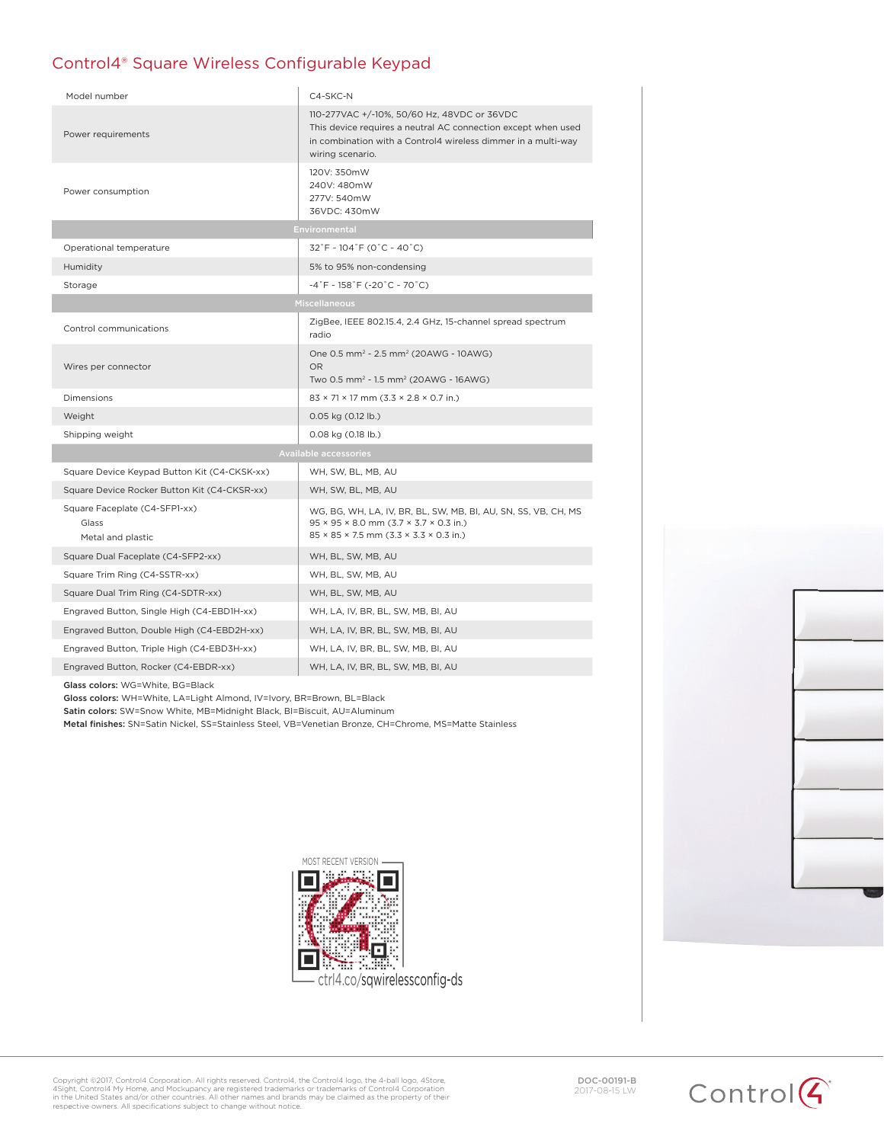## Control4® Square Wireless Configurable Keypad

| Model number                                                | C4-SKC-N                                                                                                                                                                                           |
|-------------------------------------------------------------|----------------------------------------------------------------------------------------------------------------------------------------------------------------------------------------------------|
| Power requirements                                          | 110-277VAC +/-10%, 50/60 Hz, 48VDC or 36VDC<br>This device requires a neutral AC connection except when used<br>in combination with a Control4 wireless dimmer in a multi-way<br>wiring scenario.  |
| Power consumption                                           | 120V: 350mW<br>240V: 480mW<br>277V: 540mW<br>36VDC: 430mW                                                                                                                                          |
| Environmental                                               |                                                                                                                                                                                                    |
| Operational temperature                                     | $32^\circ$ F ~ 104 $^\circ$ F (0 $^\circ$ C ~ 40 $^\circ$ C)                                                                                                                                       |
| Humidity                                                    | 5% to 95% non-condensing                                                                                                                                                                           |
| Storage                                                     | $-4^\circ$ F ~ 158 $^\circ$ F (-20 $^\circ$ C ~ 70 $^\circ$ C)                                                                                                                                     |
| <b>Miscellaneous</b>                                        |                                                                                                                                                                                                    |
| Control communications                                      | ZigBee, IEEE 802.15.4, 2.4 GHz, 15-channel spread spectrum<br>radio                                                                                                                                |
| Wires per connector                                         | One 0.5 mm <sup>2</sup> - 2.5 mm <sup>2</sup> (20AWG - 10AWG)<br><b>OR</b><br>Two 0.5 mm <sup>2</sup> - 1.5 mm <sup>2</sup> (20AWG - 16AWG)                                                        |
| <b>Dimensions</b>                                           | $83 \times 71 \times 17$ mm (3.3 $\times$ 2.8 $\times$ 0.7 in.)                                                                                                                                    |
| Weight                                                      | 0.05 kg (0.12 lb.)                                                                                                                                                                                 |
| Shipping weight                                             | $0.08$ kg $(0.18$ lb.)                                                                                                                                                                             |
| <b>Available accessories</b>                                |                                                                                                                                                                                                    |
| Square Device Keypad Button Kit (C4-CKSK-xx)                | WH, SW, BL, MB, AU                                                                                                                                                                                 |
| Square Device Rocker Button Kit (C4-CKSR-xx)                | WH, SW, BL, MB, AU                                                                                                                                                                                 |
| Square Faceplate (C4-SFP1-xx)<br>Glass<br>Metal and plastic | WG, BG, WH, LA, IV, BR, BL, SW, MB, BI, AU, SN, SS, VB, CH, MS<br>$95 \times 95 \times 8.0$ mm $(3.7 \times 3.7 \times 0.3$ in.)<br>$85 \times 85 \times 7.5$ mm $(3.3 \times 3.3 \times 0.3$ in.) |
| Square Dual Faceplate (C4-SFP2-xx)                          | WH, BL, SW, MB, AU                                                                                                                                                                                 |
| Square Trim Ring (C4-SSTR-xx)                               | WH, BL, SW, MB, AU                                                                                                                                                                                 |
| Square Dual Trim Ring (C4-SDTR-xx)                          | WH, BL, SW, MB, AU                                                                                                                                                                                 |
| Engraved Button, Single High (C4-EBD1H-xx)                  | WH, LA, IV, BR, BL, SW, MB, BI, AU                                                                                                                                                                 |
| Engraved Button, Double High (C4-EBD2H-xx)                  | WH, LA, IV, BR, BL, SW, MB, BI, AU                                                                                                                                                                 |
| Engraved Button, Triple High (C4-EBD3H-xx)                  | WH, LA, IV, BR, BL, SW, MB, BI, AU                                                                                                                                                                 |
| Engraved Button, Rocker (C4-EBDR-xx)                        | WH, LA, IV, BR, BL, SW, MB, BI, AU                                                                                                                                                                 |

Glass colors: WG=White, BG=Black

Gloss colors: WH=White, LA=Light Almond, IV=Ivory, BR=Brown, BL=Black

Satin colors: SW=Snow White, MB=Midnight Black, BI=Biscuit, AU=Aluminum

Metal finishes: SN=Satin Nickel, SS=Stainless Steel, VB=Venetian Bronze, CH=Chrome, MS=Matte Stainless